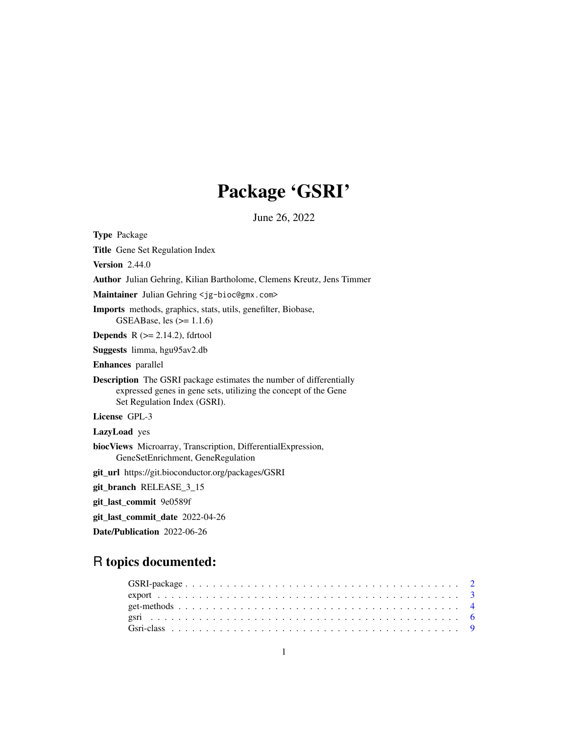# Package 'GSRI'

June 26, 2022

<span id="page-0-0"></span>Type Package Title Gene Set Regulation Index Version 2.44.0 Author Julian Gehring, Kilian Bartholome, Clemens Kreutz, Jens Timmer Maintainer Julian Gehring <jg-bioc@gmx.com> Imports methods, graphics, stats, utils, genefilter, Biobase, GSEABase, les  $(>= 1.1.6)$ **Depends**  $R$  ( $>= 2.14.2$ ), fdrtool Suggests limma, hgu95av2.db Enhances parallel Description The GSRI package estimates the number of differentially expressed genes in gene sets, utilizing the concept of the Gene Set Regulation Index (GSRI). License GPL-3 LazyLoad yes biocViews Microarray, Transcription, DifferentialExpression, GeneSetEnrichment, GeneRegulation git\_url https://git.bioconductor.org/packages/GSRI git\_branch RELEASE\_3\_15 git\_last\_commit 9e0589f git\_last\_commit\_date 2022-04-26 Date/Publication 2022-06-26

# R topics documented: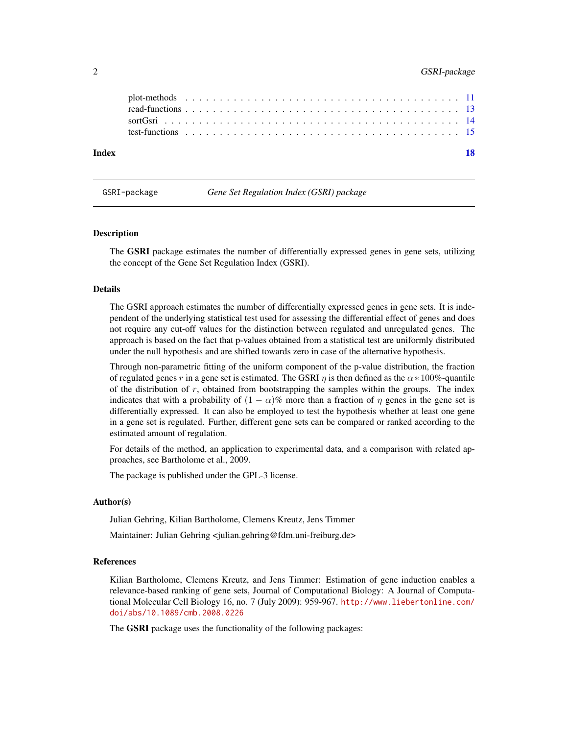# <span id="page-1-0"></span>2 GSRI-package

| Index |  |  |  |  |  |  |  |  |  |  |  |  |  |  |  |  |  |  | 18 |
|-------|--|--|--|--|--|--|--|--|--|--|--|--|--|--|--|--|--|--|----|
|       |  |  |  |  |  |  |  |  |  |  |  |  |  |  |  |  |  |  |    |
|       |  |  |  |  |  |  |  |  |  |  |  |  |  |  |  |  |  |  |    |
|       |  |  |  |  |  |  |  |  |  |  |  |  |  |  |  |  |  |  |    |
|       |  |  |  |  |  |  |  |  |  |  |  |  |  |  |  |  |  |  |    |

<span id="page-1-1"></span>

GSRI-package *Gene Set Regulation Index (GSRI) package*

#### Description

The **GSRI** package estimates the number of differentially expressed genes in gene sets, utilizing the concept of the Gene Set Regulation Index (GSRI).

#### Details

The GSRI approach estimates the number of differentially expressed genes in gene sets. It is independent of the underlying statistical test used for assessing the differential effect of genes and does not require any cut-off values for the distinction between regulated and unregulated genes. The approach is based on the fact that p-values obtained from a statistical test are uniformly distributed under the null hypothesis and are shifted towards zero in case of the alternative hypothesis.

Through non-parametric fitting of the uniform component of the p-value distribution, the fraction of regulated genes r in a gene set is estimated. The GSRI  $\eta$  is then defined as the  $\alpha * 100\%$ -quantile of the distribution of  $r$ , obtained from bootstrapping the samples within the groups. The index indicates that with a probability of  $(1 - \alpha)$ % more than a fraction of  $\eta$  genes in the gene set is differentially expressed. It can also be employed to test the hypothesis whether at least one gene in a gene set is regulated. Further, different gene sets can be compared or ranked according to the estimated amount of regulation.

For details of the method, an application to experimental data, and a comparison with related approaches, see Bartholome et al., 2009.

The package is published under the GPL-3 license.

#### Author(s)

Julian Gehring, Kilian Bartholome, Clemens Kreutz, Jens Timmer

Maintainer: Julian Gehring <julian.gehring@fdm.uni-freiburg.de>

#### References

Kilian Bartholome, Clemens Kreutz, and Jens Timmer: Estimation of gene induction enables a relevance-based ranking of gene sets, Journal of Computational Biology: A Journal of Computational Molecular Cell Biology 16, no. 7 (July 2009): 959-967. [http://www.liebertonline.com/](http://www.liebertonline.com/doi/abs/10.1089/cmb.2008.0226) [doi/abs/10.1089/cmb.2008.0226](http://www.liebertonline.com/doi/abs/10.1089/cmb.2008.0226)

The **GSRI** package uses the functionality of the following packages: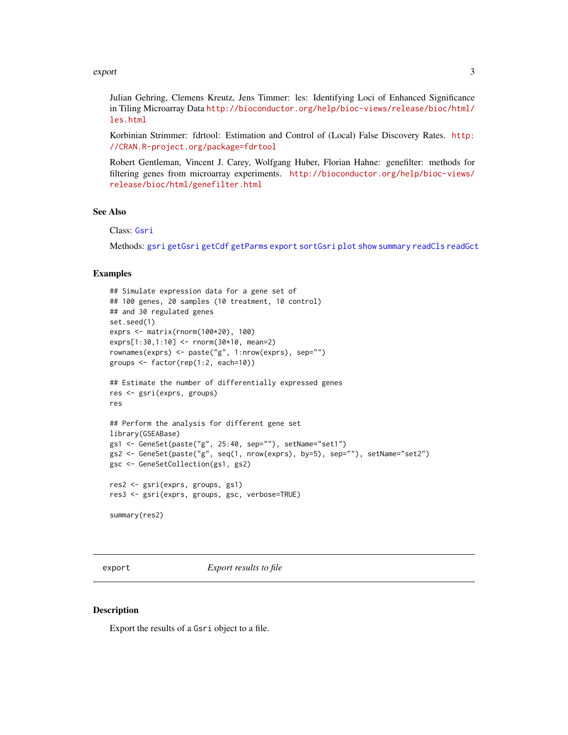#### <span id="page-2-0"></span>export 3

Julian Gehring, Clemens Kreutz, Jens Timmer: les: Identifying Loci of Enhanced Significance in Tiling Microarray Data [http://bioconductor.org/help/bioc-views/release/bioc/html/](http://bioconductor.org/help/bioc-views/release/bioc/html/les.html) [les.html](http://bioconductor.org/help/bioc-views/release/bioc/html/les.html)

Korbinian Strimmer: fdrtool: Estimation and Control of (Local) False Discovery Rates. [http:](http://CRAN.R-project.org/package=fdrtool) [//CRAN.R-project.org/package=fdrtool](http://CRAN.R-project.org/package=fdrtool)

Robert Gentleman, Vincent J. Carey, Wolfgang Huber, Florian Hahne: genefilter: methods for filtering genes from microarray experiments. [http://bioconductor.org/help/bioc-views/](http://bioconductor.org/help/bioc-views/release/bioc/html/genefilter.html) [release/bioc/html/genefilter.html](http://bioconductor.org/help/bioc-views/release/bioc/html/genefilter.html)

# See Also

Class: [Gsri](#page-8-1)

Methods: [gsri](#page-5-1) [getGsri](#page-3-1) [getCdf](#page-3-1) [getParms](#page-3-1) [export](#page-2-1) [sortGsri](#page-13-1) [plot](#page-10-1) [show](#page-8-2) [summary](#page-8-2) [readCls](#page-12-1) [readGct](#page-12-1)

#### Examples

```
## Simulate expression data for a gene set of
## 100 genes, 20 samples (10 treatment, 10 control)
## and 30 regulated genes
set.seed(1)
exprs <- matrix(rnorm(100*20), 100)
exprs[1:30,1:10] <- rnorm(30*10, mean=2)
rownames(exprs) <- paste("g", 1:nrow(exprs), sep="")
groups <- factor(rep(1:2, each=10))
## Estimate the number of differentially expressed genes
res <- gsri(exprs, groups)
res
## Perform the analysis for different gene set
library(GSEABase)
gs1 <- GeneSet(paste("g", 25:40, sep=""), setName="set1")
gs2 <- GeneSet(paste("g", seq(1, nrow(exprs), by=5), sep=""), setName="set2")
gsc <- GeneSetCollection(gs1, gs2)
res2 <- gsri(exprs, groups, gs1)
res3 <- gsri(exprs, groups, gsc, verbose=TRUE)
summary(res2)
```
<span id="page-2-1"></span>

export *Export results to file*

#### **Description**

Export the results of a Gsri object to a file.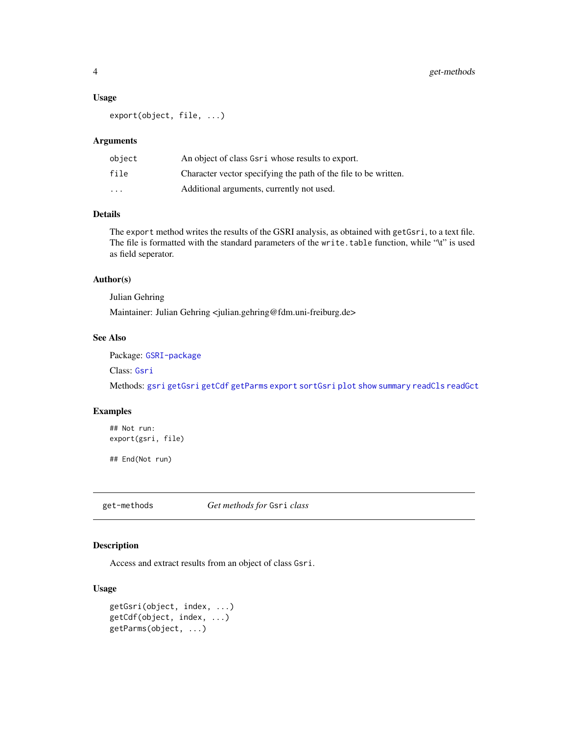#### <span id="page-3-0"></span>Usage

export(object, file, ...)

# Arguments

| object   | An object of class Gsri whose results to export.                |
|----------|-----------------------------------------------------------------|
| file     | Character vector specifying the path of the file to be written. |
| $\cdots$ | Additional arguments, currently not used.                       |

# Details

The export method writes the results of the GSRI analysis, as obtained with getGsri, to a text file. The file is formatted with the standard parameters of the write.table function, while "\t" is used as field seperator.

#### Author(s)

Julian Gehring

Maintainer: Julian Gehring <julian.gehring@fdm.uni-freiburg.de>

# See Also

Package: [GSRI-package](#page-1-1)

Class: [Gsri](#page-8-1)

Methods: [gsri](#page-5-1) [getGsri](#page-3-1) [getCdf](#page-3-1) [getParms](#page-3-1) [export](#page-2-1) [sortGsri](#page-13-1) [plot](#page-10-1) [show](#page-8-2) [summary](#page-8-2) [readCls](#page-12-1) [readGct](#page-12-1)

# Examples

## Not run: export(gsri, file)

## End(Not run)

get-methods *Get methods for* Gsri *class*

# <span id="page-3-1"></span>Description

Access and extract results from an object of class Gsri.

# Usage

```
getGsri(object, index, ...)
getCdf(object, index, ...)
getParms(object, ...)
```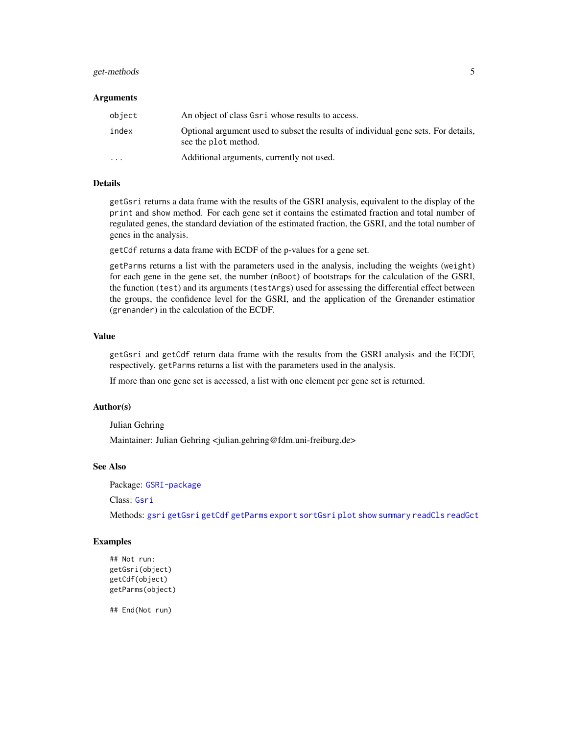# <span id="page-4-0"></span>get-methods 5

#### Arguments

| object                  | An object of class Gsri whose results to access.                                                           |
|-------------------------|------------------------------------------------------------------------------------------------------------|
| index                   | Optional argument used to subset the results of individual gene sets. For details,<br>see the plot method. |
| $\cdot$ $\cdot$ $\cdot$ | Additional arguments, currently not used.                                                                  |

# Details

getGsri returns a data frame with the results of the GSRI analysis, equivalent to the display of the print and show method. For each gene set it contains the estimated fraction and total number of regulated genes, the standard deviation of the estimated fraction, the GSRI, and the total number of genes in the analysis.

getCdf returns a data frame with ECDF of the p-values for a gene set.

getParms returns a list with the parameters used in the analysis, including the weights (weight) for each gene in the gene set, the number (nBoot) of bootstraps for the calculation of the GSRI, the function (test) and its arguments (testArgs) used for assessing the differential effect between the groups, the confidence level for the GSRI, and the application of the Grenander estimatior (grenander) in the calculation of the ECDF.

# Value

getGsri and getCdf return data frame with the results from the GSRI analysis and the ECDF, respectively. getParms returns a list with the parameters used in the analysis.

If more than one gene set is accessed, a list with one element per gene set is returned.

#### Author(s)

Julian Gehring

Maintainer: Julian Gehring <julian.gehring@fdm.uni-freiburg.de>

#### See Also

Package: [GSRI-package](#page-1-1)

Class: [Gsri](#page-8-1)

Methods: [gsri](#page-5-1) [getGsri](#page-3-1) [getCdf](#page-3-1) [getParms](#page-3-1) [export](#page-2-1) [sortGsri](#page-13-1) [plot](#page-10-1) [show](#page-8-2) [summary](#page-8-2) [readCls](#page-12-1) [readGct](#page-12-1)

#### Examples

```
## Not run:
getGsri(object)
getCdf(object)
getParms(object)
```
## End(Not run)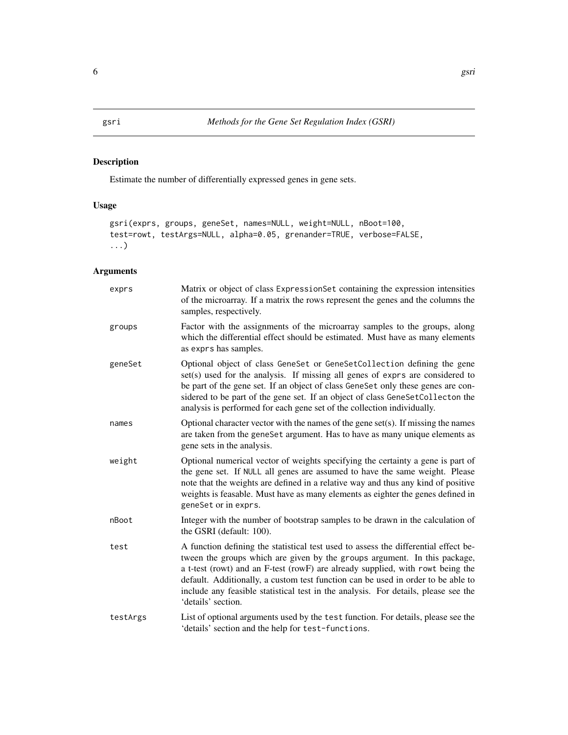# <span id="page-5-1"></span><span id="page-5-0"></span>Description

Estimate the number of differentially expressed genes in gene sets.

# Usage

```
gsri(exprs, groups, geneSet, names=NULL, weight=NULL, nBoot=100,
test=rowt, testArgs=NULL, alpha=0.05, grenander=TRUE, verbose=FALSE,
...)
```
# Arguments

| exprs    | Matrix or object of class ExpressionSet containing the expression intensities<br>of the microarray. If a matrix the rows represent the genes and the columns the<br>samples, respectively.                                                                                                                                                                                                                                                         |
|----------|----------------------------------------------------------------------------------------------------------------------------------------------------------------------------------------------------------------------------------------------------------------------------------------------------------------------------------------------------------------------------------------------------------------------------------------------------|
| groups   | Factor with the assignments of the microarray samples to the groups, along<br>which the differential effect should be estimated. Must have as many elements<br>as exprs has samples.                                                                                                                                                                                                                                                               |
| geneSet  | Optional object of class GeneSet or GeneSetCollection defining the gene<br>set(s) used for the analysis. If missing all genes of exprs are considered to<br>be part of the gene set. If an object of class GeneSet only these genes are con-<br>sidered to be part of the gene set. If an object of class GeneSetCollecton the<br>analysis is performed for each gene set of the collection individually.                                          |
| names    | Optional character vector with the names of the gene set(s). If missing the names<br>are taken from the geneSet argument. Has to have as many unique elements as<br>gene sets in the analysis.                                                                                                                                                                                                                                                     |
| weight   | Optional numerical vector of weights specifying the certainty a gene is part of<br>the gene set. If NULL all genes are assumed to have the same weight. Please<br>note that the weights are defined in a relative way and thus any kind of positive<br>weights is feasable. Must have as many elements as eighter the genes defined in<br>geneSet or in exprs.                                                                                     |
| nBoot    | Integer with the number of bootstrap samples to be drawn in the calculation of<br>the GSRI (default: 100).                                                                                                                                                                                                                                                                                                                                         |
| test     | A function defining the statistical test used to assess the differential effect be-<br>tween the groups which are given by the groups argument. In this package,<br>a t-test (rowt) and an F-test (rowF) are already supplied, with rowt being the<br>default. Additionally, a custom test function can be used in order to be able to<br>include any feasible statistical test in the analysis. For details, please see the<br>'details' section. |
| testArgs | List of optional arguments used by the test function. For details, please see the<br>'details' section and the help for test-functions.                                                                                                                                                                                                                                                                                                            |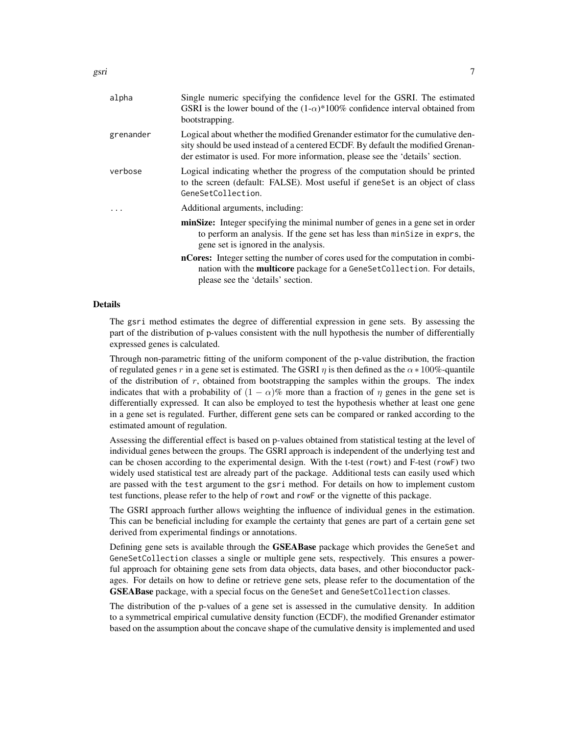| alpha     | Single numeric specifying the confidence level for the GSRI. The estimated<br>GSRI is the lower bound of the $(1-\alpha)*100\%$ confidence interval obtained from<br>bootstrapping.                                                                 |
|-----------|-----------------------------------------------------------------------------------------------------------------------------------------------------------------------------------------------------------------------------------------------------|
| grenander | Logical about whether the modified Grenander estimator for the cumulative den-<br>sity should be used instead of a centered ECDF. By default the modified Grenan-<br>der estimator is used. For more information, please see the 'details' section. |
| verbose   | Logical indicating whether the progress of the computation should be printed<br>to the screen (default: FALSE). Most useful if geneSet is an object of class<br>GeneSetCollection.                                                                  |
|           | Additional arguments, including:                                                                                                                                                                                                                    |
|           | minSize: Integer specifying the minimal number of genes in a gene set in order<br>to perform an analysis. If the gene set has less than minSize in exprs, the<br>gene set is ignored in the analysis.                                               |
|           | <b>nCores:</b> Integer setting the number of cores used for the computation in combi-<br>nation with the multicore package for a GeneSetCollection. For details,<br>please see the 'details' section.                                               |

#### Details

The gsri method estimates the degree of differential expression in gene sets. By assessing the part of the distribution of p-values consistent with the null hypothesis the number of differentially expressed genes is calculated.

Through non-parametric fitting of the uniform component of the p-value distribution, the fraction of regulated genes r in a gene set is estimated. The GSRI  $\eta$  is then defined as the  $\alpha * 100\%$ -quantile of the distribution of  $r$ , obtained from bootstrapping the samples within the groups. The index indicates that with a probability of  $(1 - \alpha)\%$  more than a fraction of  $\eta$  genes in the gene set is differentially expressed. It can also be employed to test the hypothesis whether at least one gene in a gene set is regulated. Further, different gene sets can be compared or ranked according to the estimated amount of regulation.

Assessing the differential effect is based on p-values obtained from statistical testing at the level of individual genes between the groups. The GSRI approach is independent of the underlying test and can be chosen according to the experimental design. With the t-test (rowt) and F-test (rowF) two widely used statistical test are already part of the package. Additional tests can easily used which are passed with the test argument to the gsri method. For details on how to implement custom test functions, please refer to the help of rowt and rowF or the vignette of this package.

The GSRI approach further allows weighting the influence of individual genes in the estimation. This can be beneficial including for example the certainty that genes are part of a certain gene set derived from experimental findings or annotations.

Defining gene sets is available through the **GSEABase** package which provides the GeneSet and GeneSetCollection classes a single or multiple gene sets, respectively. This ensures a powerful approach for obtaining gene sets from data objects, data bases, and other bioconductor packages. For details on how to define or retrieve gene sets, please refer to the documentation of the GSEABase package, with a special focus on the GeneSet and GeneSetCollection classes.

The distribution of the p-values of a gene set is assessed in the cumulative density. In addition to a symmetrical empirical cumulative density function (ECDF), the modified Grenander estimator based on the assumption about the concave shape of the cumulative density is implemented and used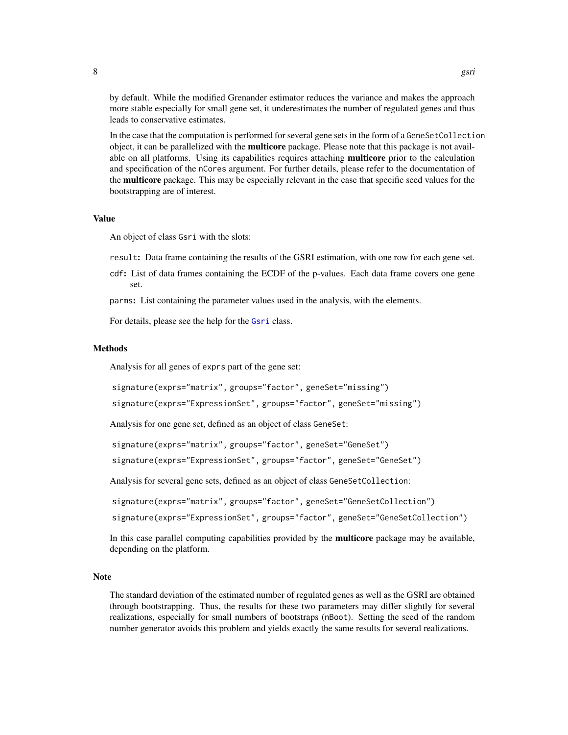<span id="page-7-0"></span>by default. While the modified Grenander estimator reduces the variance and makes the approach more stable especially for small gene set, it underestimates the number of regulated genes and thus leads to conservative estimates.

In the case that the computation is performed for several gene sets in the form of a GeneSetCollection object, it can be parallelized with the **multicore** package. Please note that this package is not available on all platforms. Using its capabilities requires attaching multicore prior to the calculation and specification of the nCores argument. For further details, please refer to the documentation of the **multicore** package. This may be especially relevant in the case that specific seed values for the bootstrapping are of interest.

#### Value

An object of class Gsri with the slots:

result: Data frame containing the results of the GSRI estimation, with one row for each gene set.

cdf: List of data frames containing the ECDF of the p-values. Each data frame covers one gene set.

parms: List containing the parameter values used in the analysis, with the elements.

For details, please see the help for the [Gsri](#page-8-1) class.

#### Methods

Analysis for all genes of exprs part of the gene set:

```
signature(exprs="matrix", groups="factor", geneSet="missing")
```
signature(exprs="ExpressionSet", groups="factor", geneSet="missing")

Analysis for one gene set, defined as an object of class GeneSet:

signature(exprs="matrix", groups="factor", geneSet="GeneSet")

signature(exprs="ExpressionSet", groups="factor", geneSet="GeneSet")

Analysis for several gene sets, defined as an object of class GeneSetCollection:

```
signature(exprs="matrix", groups="factor", geneSet="GeneSetCollection")
```
signature(exprs="ExpressionSet", groups="factor", geneSet="GeneSetCollection")

In this case parallel computing capabilities provided by the **multicore** package may be available, depending on the platform.

# Note

The standard deviation of the estimated number of regulated genes as well as the GSRI are obtained through bootstrapping. Thus, the results for these two parameters may differ slightly for several realizations, especially for small numbers of bootstraps (nBoot). Setting the seed of the random number generator avoids this problem and yields exactly the same results for several realizations.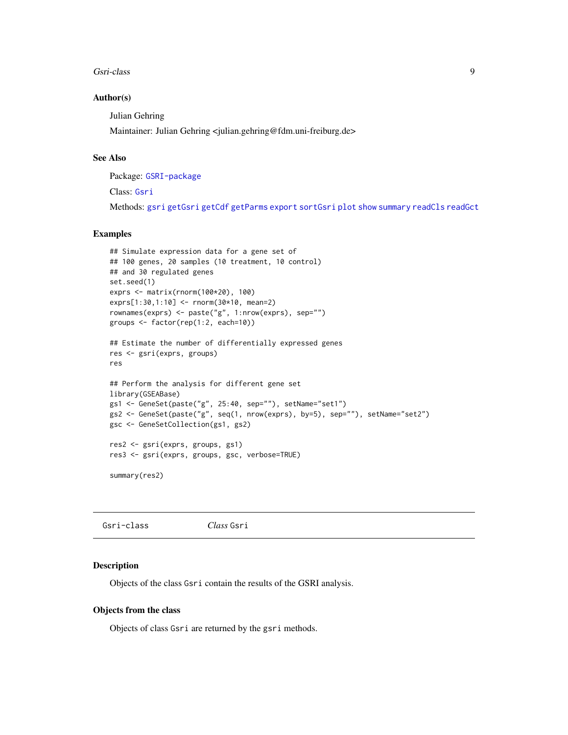#### <span id="page-8-0"></span>Gsri-class 9

#### Author(s)

Julian Gehring

Maintainer: Julian Gehring <julian.gehring@fdm.uni-freiburg.de>

# See Also

Package: [GSRI-package](#page-1-1)

Class: [Gsri](#page-8-1)

Methods: [gsri](#page-5-1) [getGsri](#page-3-1) [getCdf](#page-3-1) [getParms](#page-3-1) [export](#page-2-1) [sortGsri](#page-13-1) [plot](#page-10-1) [show](#page-8-2) [summary](#page-8-2) [readCls](#page-12-1) [readGct](#page-12-1)

# Examples

```
## Simulate expression data for a gene set of
## 100 genes, 20 samples (10 treatment, 10 control)
## and 30 regulated genes
set.seed(1)
exprs <- matrix(rnorm(100*20), 100)
exprs[1:30,1:10] <- rnorm(30*10, mean=2)
rownames(exprs) <- paste("g", 1:nrow(exprs), sep="")
groups <- factor(rep(1:2, each=10))
## Estimate the number of differentially expressed genes
res <- gsri(exprs, groups)
res
## Perform the analysis for different gene set
library(GSEABase)
gs1 <- GeneSet(paste("g", 25:40, sep=""), setName="set1")
gs2 <- GeneSet(paste("g", seq(1, nrow(exprs), by=5), sep=""), setName="set2")
gsc <- GeneSetCollection(gs1, gs2)
res2 <- gsri(exprs, groups, gs1)
res3 <- gsri(exprs, groups, gsc, verbose=TRUE)
```
summary(res2)

<span id="page-8-1"></span>Gsri-class *Class* Gsri

#### <span id="page-8-2"></span>Description

Objects of the class Gsri contain the results of the GSRI analysis.

#### Objects from the class

Objects of class Gsri are returned by the gsri methods.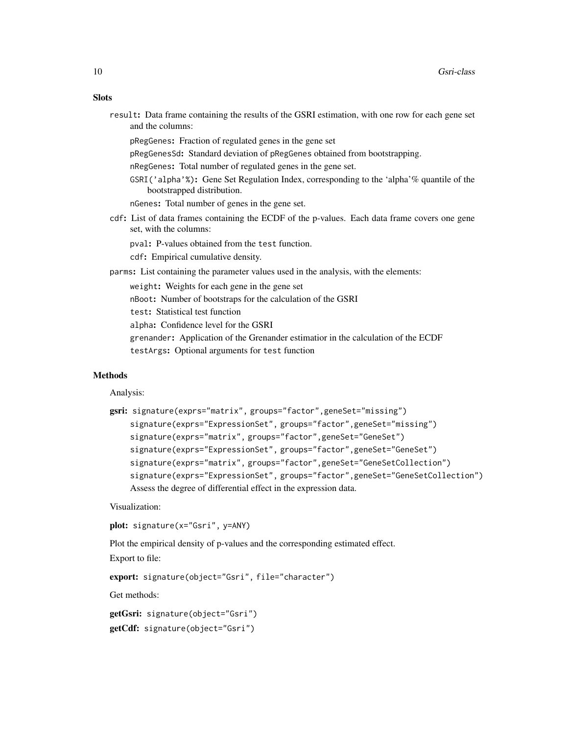| ٧<br>۰,<br>۰.<br>×<br>۰.<br>۰.<br>۰. |
|--------------------------------------|
|--------------------------------------|

|                  | result: Data frame containing the results of the GSRI estimation, with one row for each gene set |  |  |  |  |  |
|------------------|--------------------------------------------------------------------------------------------------|--|--|--|--|--|
| and the columns: |                                                                                                  |  |  |  |  |  |

pRegGenes: Fraction of regulated genes in the gene set

pRegGenesSd: Standard deviation of pRegGenes obtained from bootstrapping.

nRegGenes: Total number of regulated genes in the gene set.

GSRI('alpha'%): Gene Set Regulation Index, corresponding to the 'alpha'% quantile of the bootstrapped distribution.

nGenes: Total number of genes in the gene set.

cdf: List of data frames containing the ECDF of the p-values. Each data frame covers one gene set, with the columns:

pval: P-values obtained from the test function.

cdf: Empirical cumulative density.

parms: List containing the parameter values used in the analysis, with the elements:

weight: Weights for each gene in the gene set

nBoot: Number of bootstraps for the calculation of the GSRI

test: Statistical test function

alpha: Confidence level for the GSRI

grenander: Application of the Grenander estimatior in the calculation of the ECDF testArgs: Optional arguments for test function

#### Methods

Analysis:

```
gsri: signature(exprs="matrix", groups="factor",geneSet="missing")
    signature(exprs="ExpressionSet", groups="factor",geneSet="missing")
    signature(exprs="matrix", groups="factor",geneSet="GeneSet")
    signature(exprs="ExpressionSet", groups="factor",geneSet="GeneSet")
    signature(exprs="matrix", groups="factor",geneSet="GeneSetCollection")
    signature(exprs="ExpressionSet", groups="factor",geneSet="GeneSetCollection")
    Assess the degree of differential effect in the expression data.
```
Visualization:

plot: signature(x="Gsri", y=ANY)

Plot the empirical density of p-values and the corresponding estimated effect.

Export to file:

export: signature(object="Gsri", file="character")

Get methods:

getGsri: signature(object="Gsri") getCdf: signature(object="Gsri")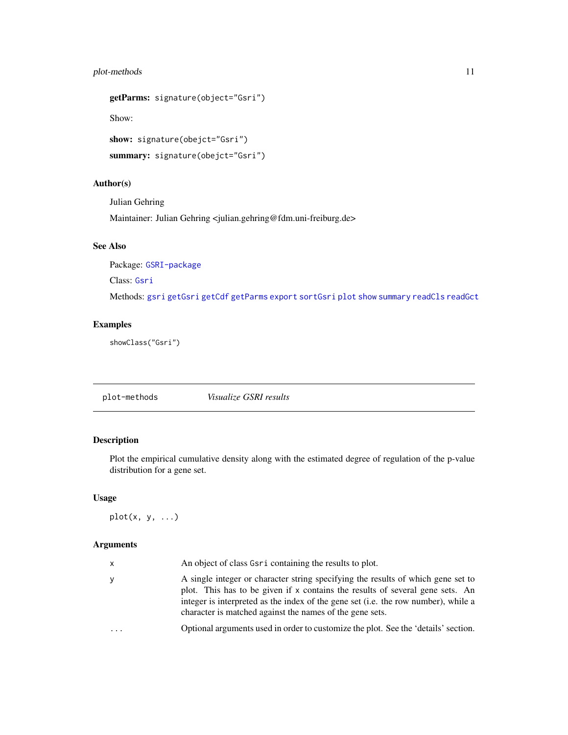# <span id="page-10-0"></span>plot-methods 11

```
getParms: signature(object="Gsri")
Show:
show: signature(obejct="Gsri")
```

```
summary: signature(obejct="Gsri")
```
# Author(s)

Julian Gehring Maintainer: Julian Gehring <julian.gehring@fdm.uni-freiburg.de>

# See Also

Package: [GSRI-package](#page-1-1)

Class: [Gsri](#page-8-1)

Methods: [gsri](#page-5-1) [getGsri](#page-3-1) [getCdf](#page-3-1) [getParms](#page-3-1) [export](#page-2-1) [sortGsri](#page-13-1) [plot](#page-10-1) [show](#page-8-2) [summary](#page-8-2) [readCls](#page-12-1) [readGct](#page-12-1)

# Examples

showClass("Gsri")

plot-methods *Visualize GSRI results*

# <span id="page-10-1"></span>Description

Plot the empirical cumulative density along with the estimated degree of regulation of the p-value distribution for a gene set.

# Usage

 $plot(x, y, ...)$ 

# Arguments

| У<br>character is matched against the names of the gene sets.<br>$\cdots$ | x | An object of class Gsr i containing the results to plot.                                                                                                                                                                                                |
|---------------------------------------------------------------------------|---|---------------------------------------------------------------------------------------------------------------------------------------------------------------------------------------------------------------------------------------------------------|
|                                                                           |   | A single integer or character string specifying the results of which gene set to<br>plot. This has to be given if x contains the results of several gene sets. An<br>integer is interpreted as the index of the gene set (i.e. the row number), while a |
|                                                                           |   | Optional arguments used in order to customize the plot. See the 'details' section.                                                                                                                                                                      |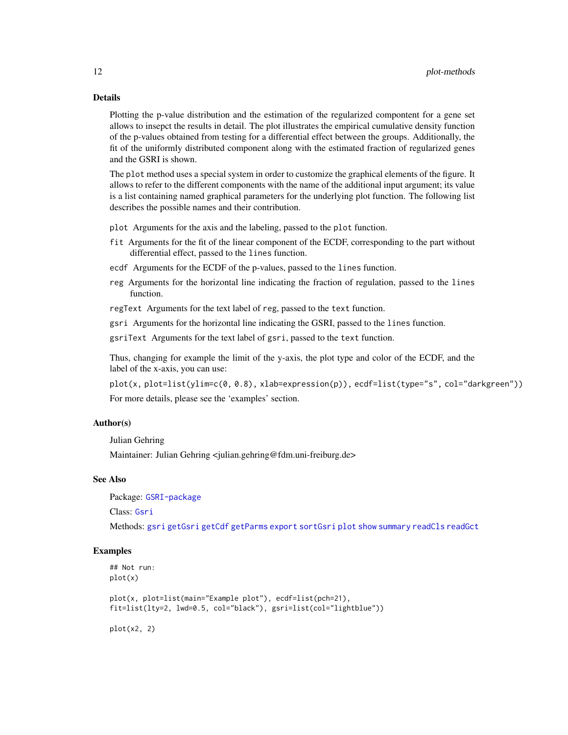# Details

Plotting the p-value distribution and the estimation of the regularized compontent for a gene set allows to insepct the results in detail. The plot illustrates the empirical cumulative density function of the p-values obtained from testing for a differential effect between the groups. Additionally, the fit of the uniformly distributed component along with the estimated fraction of regularized genes and the GSRI is shown.

The plot method uses a special system in order to customize the graphical elements of the figure. It allows to refer to the different components with the name of the additional input argument; its value is a list containing named graphical parameters for the underlying plot function. The following list describes the possible names and their contribution.

plot Arguments for the axis and the labeling, passed to the plot function.

- fit Arguments for the fit of the linear component of the ECDF, corresponding to the part without differential effect, passed to the lines function.
- ecdf Arguments for the ECDF of the p-values, passed to the lines function.
- reg Arguments for the horizontal line indicating the fraction of regulation, passed to the lines function.

regText Arguments for the text label of reg, passed to the text function.

gsri Arguments for the horizontal line indicating the GSRI, passed to the lines function.

gsriText Arguments for the text label of gsri, passed to the text function.

Thus, changing for example the limit of the y-axis, the plot type and color of the ECDF, and the label of the x-axis, you can use:

```
plot(x, plot=list(ylim=c(0, 0.8), xlab=expression(p)), ecdf=list(type="s", col="darkgreen"))
For more details, please see the 'examples' section.
```
# Author(s)

Julian Gehring

Maintainer: Julian Gehring <julian.gehring@fdm.uni-freiburg.de>

# See Also

Package: [GSRI-package](#page-1-1)

Class: [Gsri](#page-8-1)

Methods: [gsri](#page-5-1) [getGsri](#page-3-1) [getCdf](#page-3-1) [getParms](#page-3-1) [export](#page-2-1) [sortGsri](#page-13-1) [plot](#page-10-1) [show](#page-8-2) [summary](#page-8-2) [readCls](#page-12-1) [readGct](#page-12-1)

# Examples

```
## Not run:
plot(x)
```
plot(x, plot=list(main="Example plot"), ecdf=list(pch=21), fit=list(lty=2, lwd=0.5, col="black"), gsri=list(col="lightblue"))

plot(x2, 2)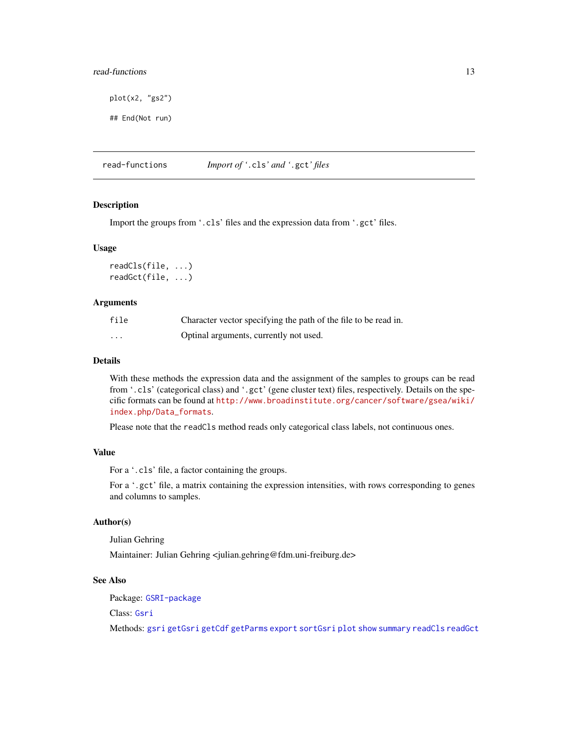# <span id="page-12-0"></span>read-functions in the set of the set of the set of the set of the set of the set of the set of the set of the set of the set of the set of the set of the set of the set of the set of the set of the set of the set of the se

plot(x2, "gs2")

## End(Not run)

read-functions *Import of '*.cls*' and '*.gct*' files*

#### <span id="page-12-1"></span>Description

Import the groups from '.cls' files and the expression data from '.gct' files.

#### Usage

readCls(file, ...) readGct(file, ...)

#### Arguments

| file | Character vector specifying the path of the file to be read in. |
|------|-----------------------------------------------------------------|
| .    | Optinal arguments, currently not used.                          |

# Details

With these methods the expression data and the assignment of the samples to groups can be read from '.cls' (categorical class) and '.gct' (gene cluster text) files, respectively. Details on the specific formats can be found at [http://www.broadinstitute.org/cancer/software/gsea/wiki/](http://www.broadinstitute.org/cancer/software/gsea/wiki/index.php/Data_formats) [index.php/Data\\_formats](http://www.broadinstitute.org/cancer/software/gsea/wiki/index.php/Data_formats).

Please note that the readCls method reads only categorical class labels, not continuous ones.

#### Value

For a '.cls' file, a factor containing the groups.

For a '.gct' file, a matrix containing the expression intensities, with rows corresponding to genes and columns to samples.

#### Author(s)

Julian Gehring

Maintainer: Julian Gehring <julian.gehring@fdm.uni-freiburg.de>

### See Also

Package: [GSRI-package](#page-1-1)

Class: [Gsri](#page-8-1)

Methods: [gsri](#page-5-1) [getGsri](#page-3-1) [getCdf](#page-3-1) [getParms](#page-3-1) [export](#page-2-1) [sortGsri](#page-13-1) [plot](#page-10-1) [show](#page-8-2) [summary](#page-8-2) [readCls](#page-12-1) [readGct](#page-12-1)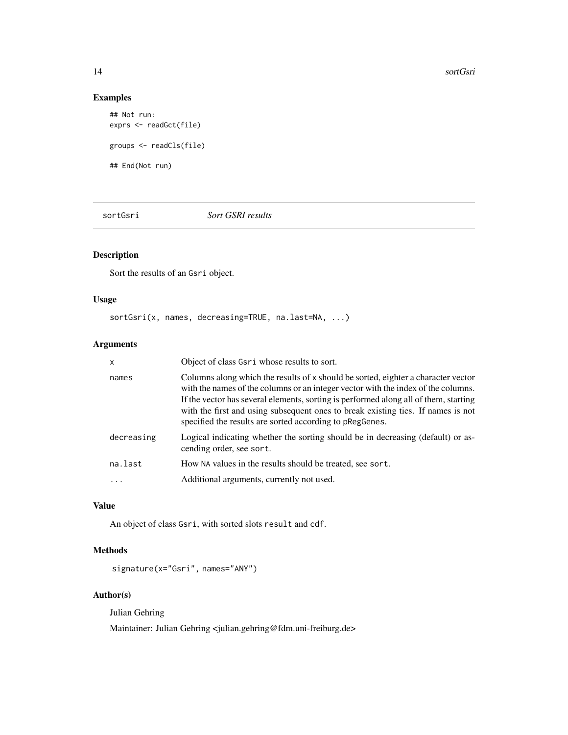# Examples

```
## Not run:
exprs <- readGct(file)
groups <- readCls(file)
## End(Not run)
```
<span id="page-13-1"></span>sortGsri *Sort GSRI results*

# Description

Sort the results of an Gsri object.

# Usage

```
sortGsri(x, names, decreasing=TRUE, na.last=NA, ...)
```
# Arguments

| X                       | Object of class Gsri whose results to sort.                                                                                                                                                                                                                                                                                                                                                                    |
|-------------------------|----------------------------------------------------------------------------------------------------------------------------------------------------------------------------------------------------------------------------------------------------------------------------------------------------------------------------------------------------------------------------------------------------------------|
| names                   | Columns along which the results of x should be sorted, eighter a character vector<br>with the names of the columns or an integer vector with the index of the columns.<br>If the vector has several elements, sorting is performed along all of them, starting<br>with the first and using subsequent ones to break existing ties. If names is not<br>specified the results are sorted according to pRegGenes. |
| decreasing              | Logical indicating whether the sorting should be in decreasing (default) or as-<br>cending order, see sort.                                                                                                                                                                                                                                                                                                    |
| na.last                 | How NA values in the results should be treated, see sort.                                                                                                                                                                                                                                                                                                                                                      |
| $\cdot$ $\cdot$ $\cdot$ | Additional arguments, currently not used.                                                                                                                                                                                                                                                                                                                                                                      |

# Value

An object of class Gsri, with sorted slots result and cdf.

# Methods

signature(x="Gsri", names="ANY")

# Author(s)

Julian Gehring

Maintainer: Julian Gehring <julian.gehring@fdm.uni-freiburg.de>

<span id="page-13-0"></span>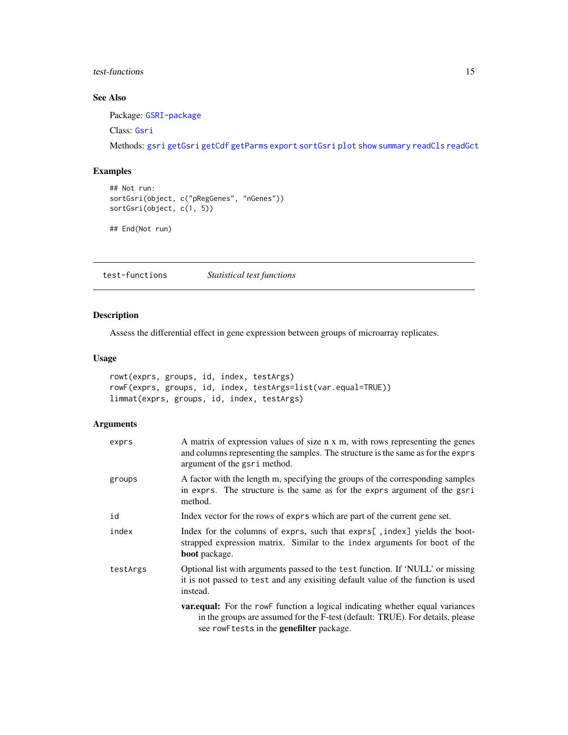# <span id="page-14-0"></span>test-functions 15

# See Also

Package: [GSRI-package](#page-1-1)

Class: [Gsri](#page-8-1)

Methods: [gsri](#page-5-1) [getGsri](#page-3-1) [getCdf](#page-3-1) [getParms](#page-3-1) [export](#page-2-1) [sortGsri](#page-13-1) [plot](#page-10-1) [show](#page-8-2) [summary](#page-8-2) [readCls](#page-12-1) [readGct](#page-12-1)

# Examples

```
## Not run:
sortGsri(object, c("pRegGenes", "nGenes"))
sortGsri(object, c(1, 5))
```

```
## End(Not run)
```
test-functions *Statistical test functions*

# Description

Assess the differential effect in gene expression between groups of microarray replicates.

# Usage

```
rowt(exprs, groups, id, index, testArgs)
rowF(exprs, groups, id, index, testArgs=list(var.equal=TRUE))
limmat(exprs, groups, id, index, testArgs)
```
# Arguments

| exprs    | A matrix of expression values of size n x m, with rows representing the genes<br>and columns representing the samples. The structure is the same as for the exprs<br>argument of the gsri method.               |
|----------|-----------------------------------------------------------------------------------------------------------------------------------------------------------------------------------------------------------------|
| groups   | A factor with the length m, specifying the groups of the corresponding samples<br>in exprs. The structure is the same as for the exprs argument of the gsri<br>method.                                          |
| id       | Index vector for the rows of exprs which are part of the current gene set.                                                                                                                                      |
| index    | Index for the columns of exprs, such that exprs[, index] yields the boot-<br>strapped expression matrix. Similar to the index arguments for boot of the<br><b>boot</b> package.                                 |
| testArgs | Optional list with arguments passed to the test function. If 'NULL' or missing<br>it is not passed to test and any exisiting default value of the function is used<br>instead.                                  |
|          | <b>variance variance</b> variances variances variances variances variances<br>in the groups are assumed for the F-test (default: TRUE). For details, please<br>see rowF tests in the <b>genefilter</b> package. |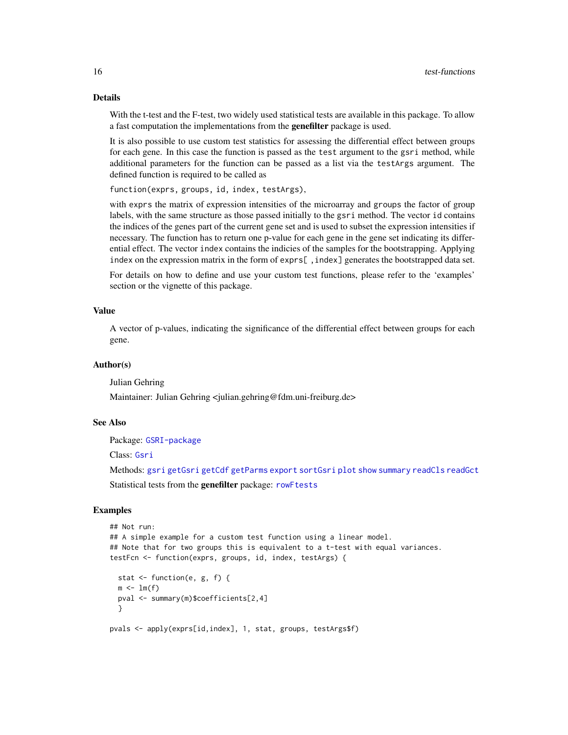# Details

With the t-test and the F-test, two widely used statistical tests are available in this package. To allow a fast computation the implementations from the genefilter package is used.

It is also possible to use custom test statistics for assessing the differential effect between groups for each gene. In this case the function is passed as the test argument to the gsri method, while additional parameters for the function can be passed as a list via the testArgs argument. The defined function is required to be called as

function(exprs, groups, id, index, testArgs),

with exprs the matrix of expression intensities of the microarray and groups the factor of group labels, with the same structure as those passed initially to the gsri method. The vector id contains the indices of the genes part of the current gene set and is used to subset the expression intensities if necessary. The function has to return one p-value for each gene in the gene set indicating its differential effect. The vector index contains the indicies of the samples for the bootstrapping. Applying index on the expression matrix in the form of exprs[, index] generates the bootstrapped data set.

For details on how to define and use your custom test functions, please refer to the 'examples' section or the vignette of this package.

#### Value

A vector of p-values, indicating the significance of the differential effect between groups for each gene.

#### Author(s)

Julian Gehring

Maintainer: Julian Gehring <julian.gehring@fdm.uni-freiburg.de>

#### See Also

Package: [GSRI-package](#page-1-1)

Class: [Gsri](#page-8-1)

Methods: [gsri](#page-5-1) [getGsri](#page-3-1) [getCdf](#page-3-1) [getParms](#page-3-1) [export](#page-2-1) [sortGsri](#page-13-1) [plot](#page-10-1) [show](#page-8-2) [summary](#page-8-2) [readCls](#page-12-1) [readGct](#page-12-1)

Statistical tests from the genefilter package: [rowFtests](#page-0-0)

#### Examples

```
## Not run:
## A simple example for a custom test function using a linear model.
## Note that for two groups this is equivalent to a t-test with equal variances.
testFcn <- function(exprs, groups, id, index, testArgs) {
 stat <- function(e, g, f) {
 m \leq -\ln(f)pval <- summary(m)$coefficients[2,4]
 }
pvals <- apply(exprs[id,index], 1, stat, groups, testArgs$f)
```
<span id="page-15-0"></span>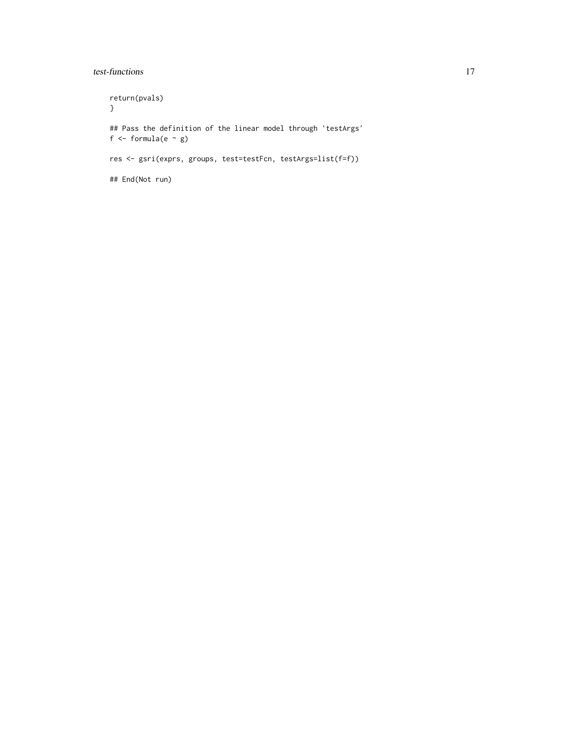# test-functions 17

return(pvals) } ## Pass the definition of the linear model through 'testArgs' f  $\leftarrow$  formula(e  $\sim$  g) res <- gsri(exprs, groups, test=testFcn, testArgs=list(f=f)) ## End(Not run)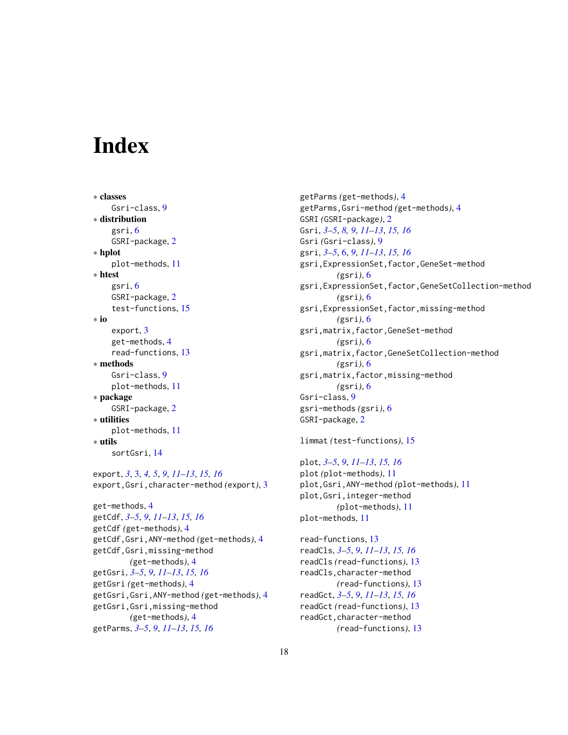# <span id="page-17-0"></span>**Index**

∗ classes Gsri-class, [9](#page-8-0) ∗ distribution gsri, [6](#page-5-0) GSRI-package, [2](#page-1-0) ∗ hplot plot-methods, [11](#page-10-0) ∗ htest gsri, [6](#page-5-0) GSRI-package, [2](#page-1-0) test-functions, [15](#page-14-0) ∗ io export, [3](#page-2-0) get-methods, [4](#page-3-0) read-functions, [13](#page-12-0) ∗ methods Gsri-class, [9](#page-8-0) plot-methods, [11](#page-10-0) ∗ package GSRI-package, [2](#page-1-0) ∗ utilities plot-methods, [11](#page-10-0) ∗ utils sortGsri, [14](#page-13-0)

export, *[3](#page-2-0)*, [3,](#page-2-0) *[4,](#page-3-0) [5](#page-4-0)*, *[9](#page-8-0)*, *[11–](#page-10-0)[13](#page-12-0)*, *[15,](#page-14-0) [16](#page-15-0)* export,Gsri,character-method *(*export*)*, [3](#page-2-0)

```
get-methods, 4
getCdf, 3–5, 9, 11–13, 15, 16
getCdf (get-methods), 4
getCdf,Gsri,ANY-method (get-methods), 4
getCdf,Gsri,missing-method
        (get-methods), 4
getGsri, 3–5, 9, 11–13, 15, 16
getGsri (get-methods), 4
getGsri,Gsri,ANY-method (get-methods), 4
getGsri,Gsri,missing-method
        (get-methods), 4
getParms, 3–5, 9, 11–13, 15, 16
```
getParms *(*get-methods*)*, [4](#page-3-0) getParms,Gsri-method *(*get-methods*)*, [4](#page-3-0) GSRI *(*GSRI-package*)*, [2](#page-1-0) Gsri, *[3–](#page-2-0)[5](#page-4-0)*, *[8,](#page-7-0) [9](#page-8-0)*, *[11](#page-10-0)[–13](#page-12-0)*, *[15,](#page-14-0) [16](#page-15-0)* Gsri *(*Gsri-class*)*, [9](#page-8-0) gsri, *[3–](#page-2-0)[5](#page-4-0)*, [6,](#page-5-0) *[9](#page-8-0)*, *[11](#page-10-0)[–13](#page-12-0)*, *[15,](#page-14-0) [16](#page-15-0)* gsri,ExpressionSet,factor,GeneSet-method *(*gsri*)*, [6](#page-5-0) gsri,ExpressionSet,factor,GeneSetCollection-method *(*gsri*)*, [6](#page-5-0) gsri,ExpressionSet,factor,missing-method *(*gsri*)*, [6](#page-5-0) gsri,matrix,factor,GeneSet-method *(*gsri*)*, [6](#page-5-0) gsri,matrix,factor,GeneSetCollection-method *(*gsri*)*, [6](#page-5-0) gsri,matrix,factor,missing-method *(*gsri*)*, [6](#page-5-0) Gsri-class, [9](#page-8-0) gsri-methods *(*gsri*)*, [6](#page-5-0) GSRI-package, [2](#page-1-0)

limmat *(*test-functions*)*, [15](#page-14-0)

# plot, *[3–](#page-2-0)[5](#page-4-0)*, *[9](#page-8-0)*, *[11](#page-10-0)[–13](#page-12-0)*, *[15,](#page-14-0) [16](#page-15-0)*

plot *(*plot-methods*)*, [11](#page-10-0) plot,Gsri,ANY-method *(*plot-methods*)*, [11](#page-10-0) plot,Gsri,integer-method *(*plot-methods*)*, [11](#page-10-0) plot-methods, [11](#page-10-0)

read-functions, [13](#page-12-0) readCls, *[3](#page-2-0)[–5](#page-4-0)*, *[9](#page-8-0)*, *[11](#page-10-0)[–13](#page-12-0)*, *[15,](#page-14-0) [16](#page-15-0)* readCls *(*read-functions*)*, [13](#page-12-0) readCls,character-method *(*read-functions*)*, [13](#page-12-0) readGct, *[3](#page-2-0)[–5](#page-4-0)*, *[9](#page-8-0)*, *[11](#page-10-0)[–13](#page-12-0)*, *[15,](#page-14-0) [16](#page-15-0)* readGct *(*read-functions*)*, [13](#page-12-0) readGct,character-method *(*read-functions*)*, [13](#page-12-0)